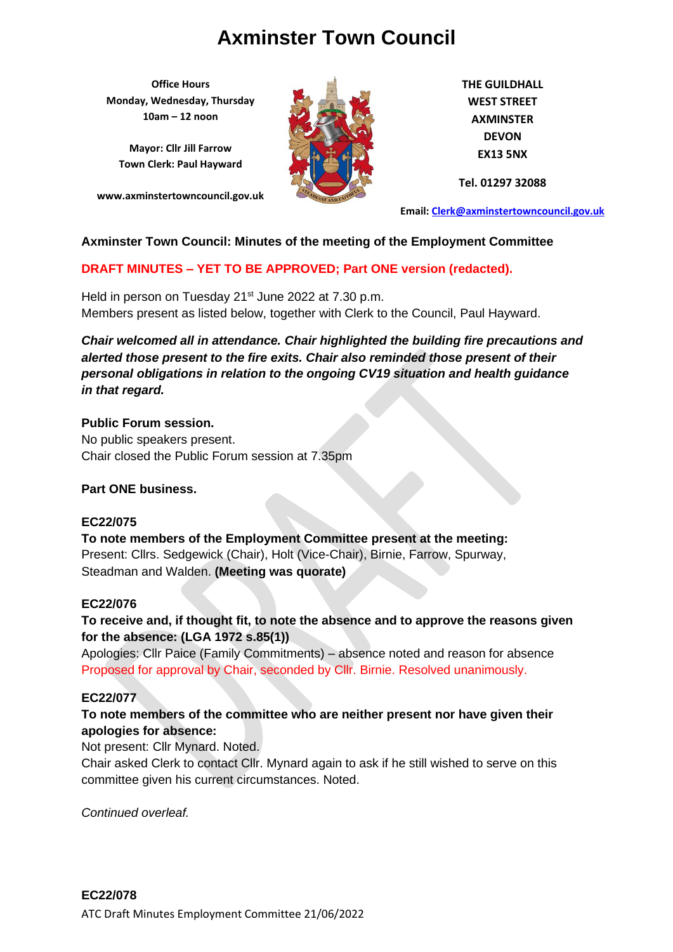**Office Hours Monday, Wednesday, Thursday 10am – 12 noon**

**Mayor: Cllr Jill Farrow Town Clerk: Paul Hayward**

**www.axminstertowncouncil.gov.uk**



**THE GUILDHALL WEST STREET AXMINSTER DEVON EX13 5NX**

**Tel. 01297 32088**

**Email: [Clerk@axminstertowncouncil.gov.uk](file://///axm-svr-1/company/Templates/Clerk@axminstertowncouncil.gov.uk)**

### **Axminster Town Council: Minutes of the meeting of the Employment Committee**

## **DRAFT MINUTES – YET TO BE APPROVED; Part ONE version (redacted).**

Members present as listed below, together with Clerk to the Council, Paul Hayward. Held in person on Tuesday 21<sup>st</sup> June 2022 at 7.30 p.m.

*Chair welcomed all in attendance. Chair highlighted the building fire precautions and alerted those present to the fire exits. Chair also reminded those present of their personal obligations in relation to the ongoing CV19 situation and health guidance in that regard.*

### **Public Forum session.**

No public speakers present. Chair closed the Public Forum session at 7.35pm

### **Part ONE business.**

### **EC22/075**

**To note members of the Employment Committee present at the meeting:** Present: Cllrs. Sedgewick (Chair), Holt (Vice-Chair), Birnie, Farrow, Spurway, Steadman and Walden. **(Meeting was quorate)**

### **EC22/076**

**To receive and, if thought fit, to note the absence and to approve the reasons given for the absence: (LGA 1972 s.85(1))**

Apologies: Cllr Paice (Family Commitments) – absence noted and reason for absence Proposed for approval by Chair, seconded by Cllr. Birnie. Resolved unanimously.

#### **EC22/077**

### **To note members of the committee who are neither present nor have given their apologies for absence:**

### Not present: Cllr Mynard. Noted.

Chair asked Clerk to contact Cllr. Mynard again to ask if he still wished to serve on this committee given his current circumstances. Noted.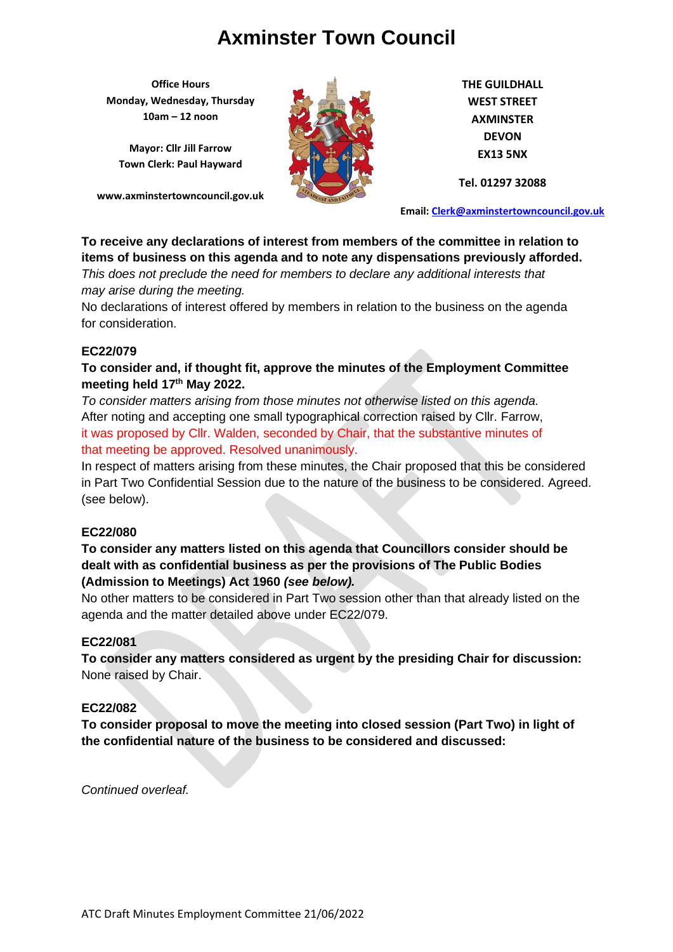**Office Hours Monday, Wednesday, Thursday 10am – 12 noon**

**Mayor: Cllr Jill Farrow Town Clerk: Paul Hayward**

**www.axminstertowncouncil.gov.uk**



**THE GUILDHALL WEST STREET AXMINSTER DEVON EX13 5NX**

**Tel. 01297 32088**

**Email: [Clerk@axminstertowncouncil.gov.uk](file://///axm-svr-1/company/Templates/Clerk@axminstertowncouncil.gov.uk)**

## **To receive any declarations of interest from members of the committee in relation to items of business on this agenda and to note any dispensations previously afforded.**

*This does not preclude the need for members to declare any additional interests that may arise during the meeting.*

**TEL: 01297 32088** No declarations of interest offered by members in relation to the business on the agenda for consideration.

## **EC22/079**

## **To consider and, if thought fit, approve the minutes of the Employment Committee meeting held 17th May 2022.**

*To consider matters arising from those minutes not otherwise listed on this agenda.* After noting and accepting one small typographical correction raised by Cllr. Farrow, it was proposed by Cllr. Walden, seconded by Chair, that the substantive minutes of that meeting be approved. Resolved unanimously.

In respect of matters arising from these minutes, the Chair proposed that this be considered in Part Two Confidential Session due to the nature of the business to be considered. Agreed. (see below).

### **EC22/080**

## **To consider any matters listed on this agenda that Councillors consider should be dealt with as confidential business as per the provisions of The Public Bodies (Admission to Meetings) Act 1960** *(see below).*

No other matters to be considered in Part Two session other than that already listed on the agenda and the matter detailed above under EC22/079.

### **EC22/081**

**To consider any matters considered as urgent by the presiding Chair for discussion:** None raised by Chair.

### **EC22/082**

**To consider proposal to move the meeting into closed session (Part Two) in light of the confidential nature of the business to be considered and discussed:**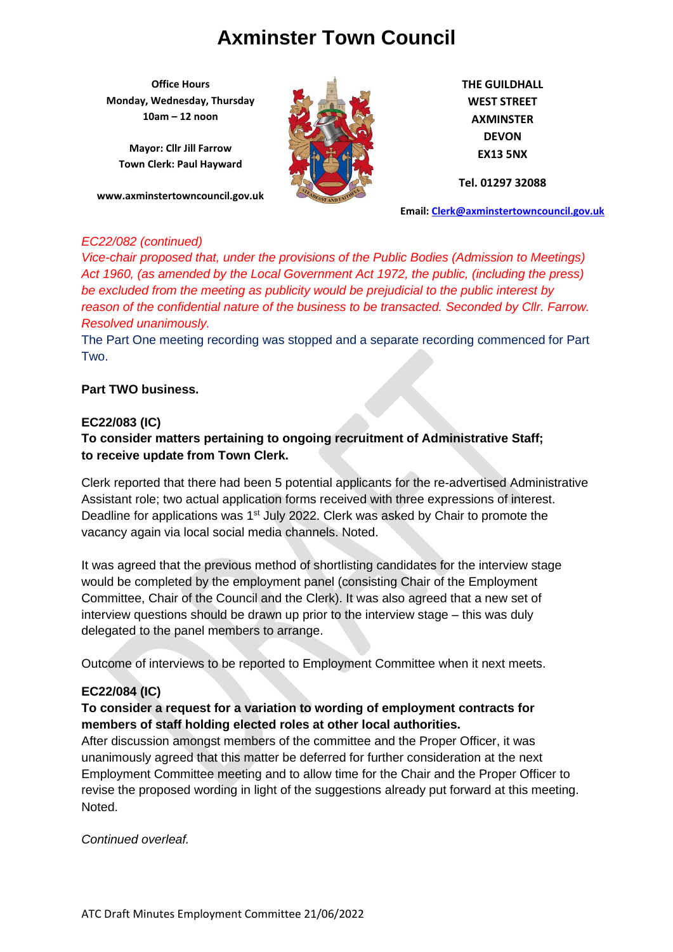**Office Hours Monday, Wednesday, Thursday 10am – 12 noon**

**Mayor: Cllr Jill Farrow Town Clerk: Paul Hayward**

**www.axminstertowncouncil.gov.uk**



**THE GUILDHALL WEST STREET AXMINSTER DEVON EX13 5NX**

**Tel. 01297 32088**

**Email: [Clerk@axminstertowncouncil.gov.uk](file://///axm-svr-1/company/Templates/Clerk@axminstertowncouncil.gov.uk)**

#### *EC22/082 (continued)*

reason of the confidential nature of the business to be transacted. Seconded by Cllr. Farrow. *Vice-chair proposed that, under the provisions of the Public Bodies (Admission to Meetings) Act 1960, (as amended by the Local Government Act 1972, the public, (including the press) be excluded from the meeting as publicity would be prejudicial to the public interest by Resolved unanimously.*

The Part One meeting recording was stopped and a separate recording commenced for Part Two.

### **Part TWO business.**

### **EC22/083 (IC)**

## **To consider matters pertaining to ongoing recruitment of Administrative Staff; to receive update from Town Clerk.**

Clerk reported that there had been 5 potential applicants for the re-advertised Administrative Assistant role; two actual application forms received with three expressions of interest. Deadline for applications was 1<sup>st</sup> July 2022. Clerk was asked by Chair to promote the vacancy again via local social media channels. Noted.

It was agreed that the previous method of shortlisting candidates for the interview stage would be completed by the employment panel (consisting Chair of the Employment Committee, Chair of the Council and the Clerk). It was also agreed that a new set of interview questions should be drawn up prior to the interview stage – this was duly delegated to the panel members to arrange.

Outcome of interviews to be reported to Employment Committee when it next meets.

### **EC22/084 (IC)**

## **To consider a request for a variation to wording of employment contracts for members of staff holding elected roles at other local authorities.**

After discussion amongst members of the committee and the Proper Officer, it was unanimously agreed that this matter be deferred for further consideration at the next Employment Committee meeting and to allow time for the Chair and the Proper Officer to revise the proposed wording in light of the suggestions already put forward at this meeting. Noted.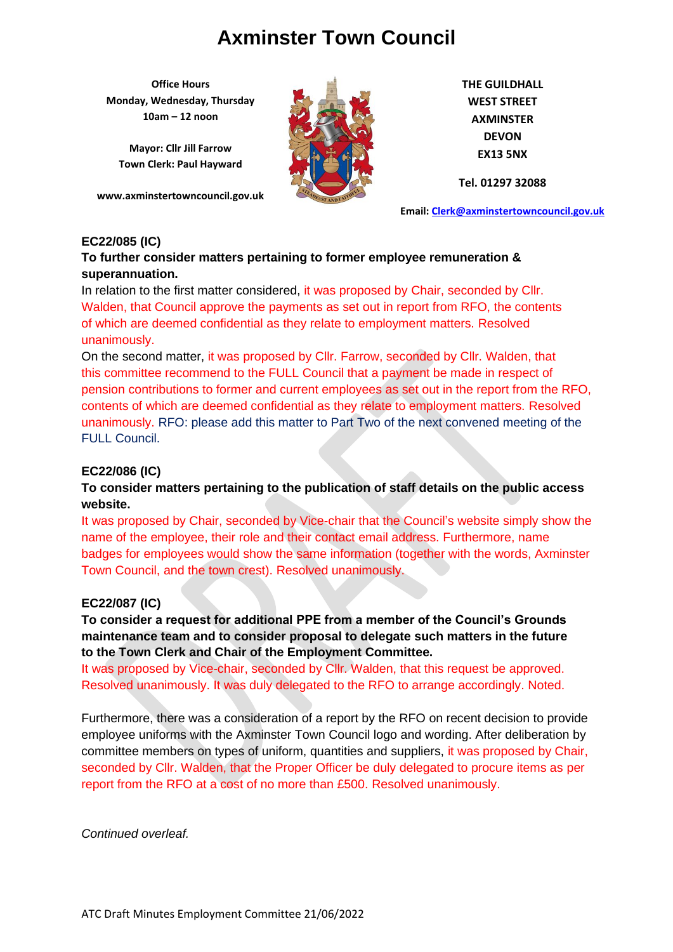**Office Hours Monday, Wednesday, Thursday 10am – 12 noon**

**Mayor: Cllr Jill Farrow Town Clerk: Paul Hayward**

**www.axminstertowncouncil.gov.uk**



**THE GUILDHALL WEST STREET AXMINSTER DEVON EX13 5NX**

**Tel. 01297 32088**

**Email: [Clerk@axminstertowncouncil.gov.uk](file://///axm-svr-1/company/Templates/Clerk@axminstertowncouncil.gov.uk)**

### **EC22/085 (IC)**

### **To further consider matters pertaining to former employee remuneration & superannuation.**

Walden, that Council approve the payments as set out in report from RFO, the contents In relation to the first matter considered, it was proposed by Chair, seconded by Cllr. of which are deemed confidential as they relate to employment matters. Resolved unanimously.

On the second matter, it was proposed by Cllr. Farrow, seconded by Cllr. Walden, that this committee recommend to the FULL Council that a payment be made in respect of pension contributions to former and current employees as set out in the report from the RFO, contents of which are deemed confidential as they relate to employment matters. Resolved unanimously. RFO: please add this matter to Part Two of the next convened meeting of the FULL Council.

### **EC22/086 (IC)**

### **To consider matters pertaining to the publication of staff details on the public access website.**

It was proposed by Chair, seconded by Vice-chair that the Council's website simply show the name of the employee, their role and their contact email address. Furthermore, name badges for employees would show the same information (together with the words, Axminster Town Council, and the town crest). Resolved unanimously.

### **EC22/087 (IC)**

**To consider a request for additional PPE from a member of the Council's Grounds maintenance team and to consider proposal to delegate such matters in the future to the Town Clerk and Chair of the Employment Committee.**

It was proposed by Vice-chair, seconded by Cllr. Walden, that this request be approved. Resolved unanimously. It was duly delegated to the RFO to arrange accordingly. Noted.

Furthermore, there was a consideration of a report by the RFO on recent decision to provide employee uniforms with the Axminster Town Council logo and wording. After deliberation by committee members on types of uniform, quantities and suppliers, it was proposed by Chair, seconded by Cllr. Walden, that the Proper Officer be duly delegated to procure items as per report from the RFO at a cost of no more than £500. Resolved unanimously.